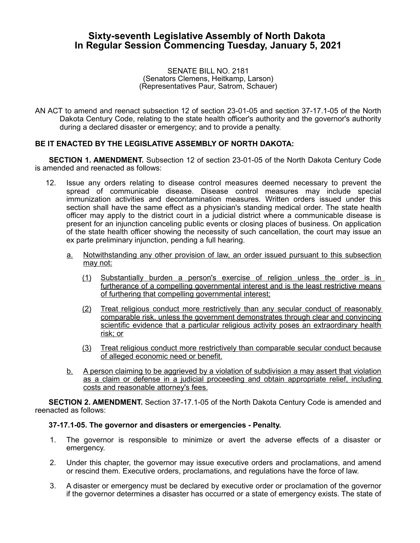## **Sixty-seventh Legislative Assembly of North Dakota In Regular Session Commencing Tuesday, January 5, 2021**

SENATE BILL NO. 2181 (Senators Clemens, Heitkamp, Larson) (Representatives Paur, Satrom, Schauer)

AN ACT to amend and reenact subsection 12 of section 23-01-05 and section 37-17.1-05 of the North Dakota Century Code, relating to the state health officer's authority and the governor's authority during a declared disaster or emergency; and to provide a penalty.

## **BE IT ENACTED BY THE LEGISLATIVE ASSEMBLY OF NORTH DAKOTA:**

**SECTION 1. AMENDMENT.** Subsection 12 of section 23-01-05 of the North Dakota Century Code is amended and reenacted as follows:

- 12. Issue any orders relating to disease control measures deemed necessary to prevent the spread of communicable disease. Disease control measures may include special immunization activities and decontamination measures. Written orders issued under this section shall have the same effect as a physician's standing medical order. The state health officer may apply to the district court in a judicial district where a communicable disease is present for an injunction canceling public events or closing places of business. On application of the state health officer showing the necessity of such cancellation, the court may issue an ex parte preliminary injunction, pending a full hearing.
	- a. Notwithstanding any other provision of law, an order issued pursuant to this subsection may not:
		- (1) Substantially burden a person's exercise of religion unless the order is in furtherance of a compelling governmental interest and is the least restrictive means of furthering that compelling governmental interest;
		- (2) Treat religious conduct more restrictively than any secular conduct of reasonably comparable risk, unless the government demonstrates through clear and convincing scientific evidence that a particular religious activity poses an extraordinary health risk; or
		- (3) Treat religious conduct more restrictively than comparable secular conduct because of alleged economic need or benefit.
	- b. A person claiming to be aggrieved by a violation of subdivision a may assert that violation as a claim or defense in a judicial proceeding and obtain appropriate relief, including costs and reasonable attorney's fees.

**SECTION 2. AMENDMENT.** Section 37-17.1-05 of the North Dakota Century Code is amended and reenacted as follows:

## **37-17.1-05. The governor and disasters or emergencies - Penalty.**

- 1. The governor is responsible to minimize or avert the adverse effects of a disaster or emergency.
- 2. Under this chapter, the governor may issue executive orders and proclamations, and amend or rescind them. Executive orders, proclamations, and regulations have the force of law.
- 3. A disaster or emergency must be declared by executive order or proclamation of the governor if the governor determines a disaster has occurred or a state of emergency exists. The state of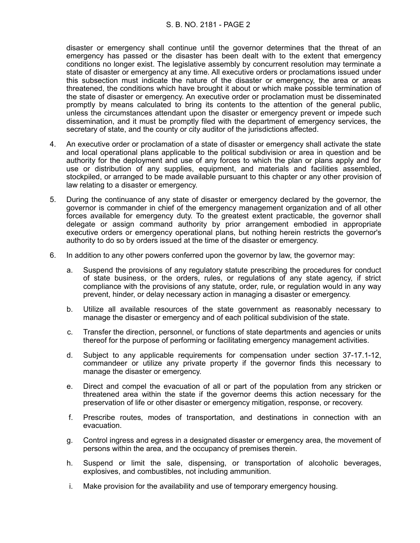## S. B. NO. 2181 - PAGE 2

disaster or emergency shall continue until the governor determines that the threat of an emergency has passed or the disaster has been dealt with to the extent that emergency conditions no longer exist. The legislative assembly by concurrent resolution may terminate a state of disaster or emergency at any time. All executive orders or proclamations issued under this subsection must indicate the nature of the disaster or emergency, the area or areas threatened, the conditions which have brought it about or which make possible termination of the state of disaster or emergency. An executive order or proclamation must be disseminated promptly by means calculated to bring its contents to the attention of the general public, unless the circumstances attendant upon the disaster or emergency prevent or impede such dissemination, and it must be promptly filed with the department of emergency services, the secretary of state, and the county or city auditor of the jurisdictions affected.

- 4. An executive order or proclamation of a state of disaster or emergency shall activate the state and local operational plans applicable to the political subdivision or area in question and be authority for the deployment and use of any forces to which the plan or plans apply and for use or distribution of any supplies, equipment, and materials and facilities assembled, stockpiled, or arranged to be made available pursuant to this chapter or any other provision of law relating to a disaster or emergency.
- 5. During the continuance of any state of disaster or emergency declared by the governor, the governor is commander in chief of the emergency management organization and of all other forces available for emergency duty. To the greatest extent practicable, the governor shall delegate or assign command authority by prior arrangement embodied in appropriate executive orders or emergency operational plans, but nothing herein restricts the governor's authority to do so by orders issued at the time of the disaster or emergency.
- 6. In addition to any other powers conferred upon the governor by law, the governor may:
	- a. Suspend the provisions of any regulatory statute prescribing the procedures for conduct of state business, or the orders, rules, or regulations of any state agency, if strict compliance with the provisions of any statute, order, rule, or regulation would in any way prevent, hinder, or delay necessary action in managing a disaster or emergency.
	- b. Utilize all available resources of the state government as reasonably necessary to manage the disaster or emergency and of each political subdivision of the state.
	- c. Transfer the direction, personnel, or functions of state departments and agencies or units thereof for the purpose of performing or facilitating emergency management activities.
	- d. Subject to any applicable requirements for compensation under section 37-17.1-12, commandeer or utilize any private property if the governor finds this necessary to manage the disaster or emergency.
	- e. Direct and compel the evacuation of all or part of the population from any stricken or threatened area within the state if the governor deems this action necessary for the preservation of life or other disaster or emergency mitigation, response, or recovery.
	- f. Prescribe routes, modes of transportation, and destinations in connection with an evacuation.
	- g. Control ingress and egress in a designated disaster or emergency area, the movement of persons within the area, and the occupancy of premises therein.
	- h. Suspend or limit the sale, dispensing, or transportation of alcoholic beverages, explosives, and combustibles, not including ammunition.
	- i. Make provision for the availability and use of temporary emergency housing.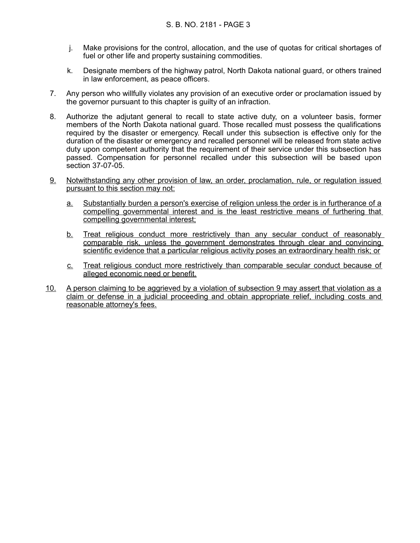- j. Make provisions for the control, allocation, and the use of quotas for critical shortages of fuel or other life and property sustaining commodities.
- k. Designate members of the highway patrol, North Dakota national guard, or others trained in law enforcement, as peace officers.
- 7. Any person who willfully violates any provision of an executive order or proclamation issued by the governor pursuant to this chapter is guilty of an infraction.
- 8. Authorize the adjutant general to recall to state active duty, on a volunteer basis, former members of the North Dakota national guard. Those recalled must possess the qualifications required by the disaster or emergency. Recall under this subsection is effective only for the duration of the disaster or emergency and recalled personnel will be released from state active duty upon competent authority that the requirement of their service under this subsection has passed. Compensation for personnel recalled under this subsection will be based upon section 37-07-05.
- 9. Notwithstanding any other provision of law, an order, proclamation, rule, or regulation issued pursuant to this section may not:
	- a. Substantially burden a person's exercise of religion unless the order is in furtherance of a compelling governmental interest and is the least restrictive means of furthering that compelling governmental interest;
	- b. Treat religious conduct more restrictively than any secular conduct of reasonably comparable risk, unless the government demonstrates through clear and convincing scientific evidence that a particular religious activity poses an extraordinary health risk; or
	- c. Treat religious conduct more restrictively than comparable secular conduct because of alleged economic need or benefit.
- 10. A person claiming to be aggrieved by a violation of subsection 9 may assert that violation as a claim or defense in a judicial proceeding and obtain appropriate relief, including costs and reasonable attorney's fees.